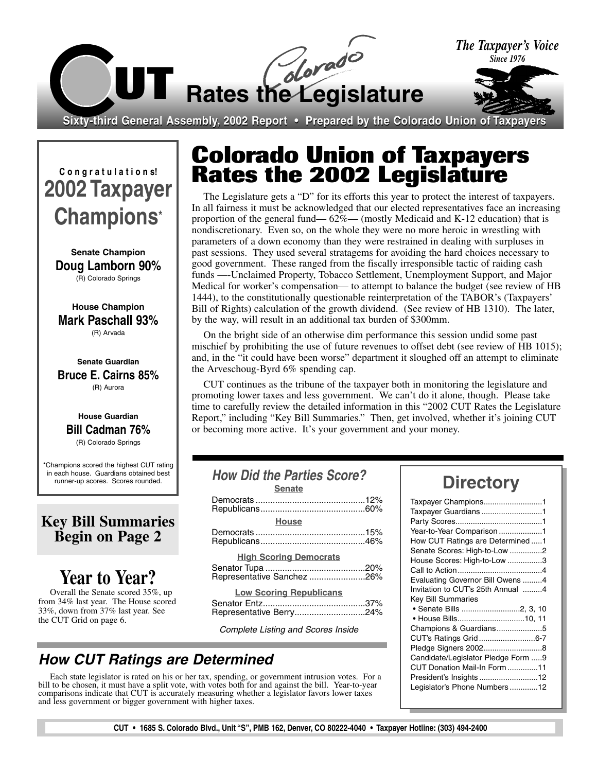

**C o n g r a t u l a t i o n s! 2002 Taxpayer Champions\***

**Senate Champion Doug Lamborn 90%** (R) Colorado Springs

**House Champion Mark Paschall 93%** (R) Arvada

**Senate Guardian Bruce E. Cairns 85%** (R) Aurora

#### **House Guardian Bill Cadman 76%** (R) Colorado Springs

\*Champions scored the highest CUT rating in each house. Guardians obtained best runner-up scores. Scores rounded.

### **Key Bill Summaries Begin on Page 2**

## **Year to Year?**

Overall the Senate scored 35%, up from 34% last year. The House scored 33%, down from 37% last year. See the CUT Grid on page 6.

## **Colorado Union of Taxpayers Rates the 2002 Legislature**

The Legislature gets a "D" for its efforts this year to protect the interest of taxpayers. In all fairness it must be acknowledged that our elected representatives face an increasing proportion of the general fund— 62%— (mostly Medicaid and K-12 education) that is nondiscretionary. Even so, on the whole they were no more heroic in wrestling with parameters of a down economy than they were restrained in dealing with surpluses in past sessions. They used several stratagems for avoiding the hard choices necessary to good government. These ranged from the fiscally irresponsible tactic of raiding cash funds —-Unclaimed Property, Tobacco Settlement, Unemployment Support, and Major Medical for worker's compensation— to attempt to balance the budget (see review of HB 1444), to the constitutionally questionable reinterpretation of the TABOR's (Taxpayers' Bill of Rights) calculation of the growth dividend. (See review of HB 1310). The later, by the way, will result in an additional tax burden of \$300mm.

On the bright side of an otherwise dim performance this session undid some past mischief by prohibiting the use of future revenues to offset debt (see review of HB 1015); and, in the "it could have been worse" department it sloughed off an attempt to eliminate the Arveschoug-Byrd 6% spending cap.

CUT continues as the tribune of the taxpayer both in monitoring the legislature and promoting lower taxes and less government. We can't do it alone, though. Please take time to carefully review the detailed information in this "2002 CUT Rates the Legislature Report," including "Key Bill Summaries." Then, get involved, whether it's joining CUT or becoming more active. It's your government and your money.

| How Did the Parties Score?     |     |
|--------------------------------|-----|
| <b>Senate</b>                  |     |
|                                |     |
| <b>House</b>                   |     |
|                                |     |
| <b>High Scoring Democrats</b>  |     |
| Representative Sanchez 26%     |     |
| <b>Low Scoring Republicans</b> |     |
| <b>Constor Entz</b>            | 27% |

#### Senator Entz..........................................37% Representative Berry.............................24%

Complete Listing and Scores Inside

### *How CUT Ratings are Determined*

Each state legislator is rated on his or her tax, spending, or government intrusion votes. For a bill to be chosen, it must have a split vote, with votes both for and against the bill. Year-to-year comparisons indicate that CUT is accurately measuring whether a legislator favors lower taxes and less government or bigger government with higher taxes.

## **Directory**

| Taxpayer Champions1<br>Taxpayer Guardians 1<br>Year-to-Year Comparison 1<br>How CUT Ratings are Determined 1<br>Senate Scores: High-to-Low 2                                                                                         |
|--------------------------------------------------------------------------------------------------------------------------------------------------------------------------------------------------------------------------------------|
| House Scores: High-to-Low 3<br>Evaluating Governor Bill Owens4<br>Invitation to CUT's 25th Annual 4                                                                                                                                  |
| <b>Key Bill Summaries</b><br>• House Bills10, 11<br>Champions & Guardians5<br>CUT's Ratings Grid6-7<br>Candidate/Legislator Pledge Form 9<br>CUT Donation Mail-In Form 11<br>President's Insights 12<br>Legislator's Phone Numbers12 |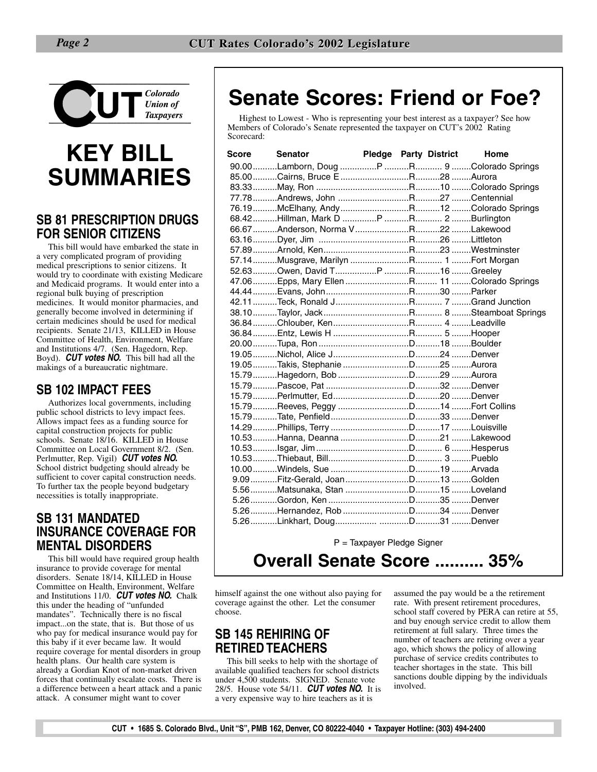

# **KEY BILL SUMMARIES**

### **SB 81 PRESCRIPTION DRUGS FOR SENIOR CITIZENS**

This bill would have embarked the state in a very complicated program of providing medical prescriptions to senior citizens. It would try to coordinate with existing Medicare and Medicaid programs. It would enter into a regional bulk buying of prescription medicines. It would monitor pharmacies, and generally become involved in determining if certain medicines should be used for medical recipients. Senate 21/13, KILLED in House Committee of Health, Environment, Welfare and Institutions 4/7. (Sen. Hagedorn, Rep. Boyd). *CUT votes NO.* This bill had all the makings of a bureaucratic nightmare.

### **SB 102 IMPACT FEES**

Authorizes local governments, including public school districts to levy impact fees. Allows impact fees as a funding source for capital construction projects for public schools. Senate 18/16. KILLED in House Committee on Local Government 8/2. (Sen. Perlmutter, Rep. Vigil) *CUT votes NO.* School district budgeting should already be sufficient to cover capital construction needs. To further tax the people beyond budgetary necessities is totally inappropriate.

### **SB 131 MANDATED INSURANCE COVERAGE FOR MENTAL DISORDERS**

This bill would have required group health insurance to provide coverage for mental disorders. Senate 18/14, KILLED in House Committee on Health, Environment, Welfare and Institutions 11/0. *CUT votes NO.* Chalk this under the heading of "unfunded mandates". Technically there is no fiscal impact...on the state, that is. But those of us who pay for medical insurance would pay for this baby if it ever became law. It would require coverage for mental disorders in group health plans. Our health care system is already a Gordian Knot of non-market driven forces that continually escalate costs. There is a difference between a heart attack and a panic attack. A consumer might want to cover

## **Senate Scores: Friend or Foe?**

Highest to Lowest - Who is representing your best interest as a taxpayer? See how Members of Colorado's Senate represented the taxpayer on CUT's 2002 Rating Scorecard:

| Score | <b>Senator</b>                             |  | <b>Pledge Party District</b> | Home |
|-------|--------------------------------------------|--|------------------------------|------|
|       |                                            |  |                              |      |
|       |                                            |  |                              |      |
|       |                                            |  |                              |      |
|       |                                            |  |                              |      |
|       |                                            |  |                              |      |
|       |                                            |  |                              |      |
|       |                                            |  |                              |      |
|       |                                            |  |                              |      |
|       |                                            |  |                              |      |
|       |                                            |  |                              |      |
|       |                                            |  |                              |      |
|       | 47.06Epps, Mary EllenR 11 Colorado Springs |  |                              |      |
|       |                                            |  |                              |      |
|       |                                            |  |                              |      |
|       |                                            |  |                              |      |
|       |                                            |  |                              |      |
|       |                                            |  |                              |      |
|       |                                            |  |                              |      |
|       |                                            |  |                              |      |
|       |                                            |  |                              |      |
|       |                                            |  |                              |      |
|       |                                            |  |                              |      |
|       |                                            |  |                              |      |
|       |                                            |  |                              |      |
|       |                                            |  |                              |      |
|       |                                            |  |                              |      |
|       |                                            |  |                              |      |
|       |                                            |  |                              |      |
|       |                                            |  |                              |      |
|       |                                            |  |                              |      |
|       |                                            |  |                              |      |
|       |                                            |  |                              |      |
|       |                                            |  |                              |      |
|       |                                            |  |                              |      |
|       |                                            |  |                              |      |

P = Taxpayer Pledge Signer

**Overall Senate Score .......... 35%**

himself against the one without also paying for coverage against the other. Let the consumer choose.

### **SB 145 REHIRING OF RETIRED TEACHERS**

This bill seeks to help with the shortage of available qualified teachers for school districts under 4,500 students. SIGNED. Senate vote 28/5. House vote 54/11. *CUT votes NO.* It is a very expensive way to hire teachers as it is

assumed the pay would be a the retirement rate. With present retirement procedures, school staff covered by PERA can retire at 55, and buy enough service credit to allow them retirement at full salary. Three times the number of teachers are retiring over a year ago, which shows the policy of allowing purchase of service credits contributes to teacher shortages in the state. This bill sanctions double dipping by the individuals involved.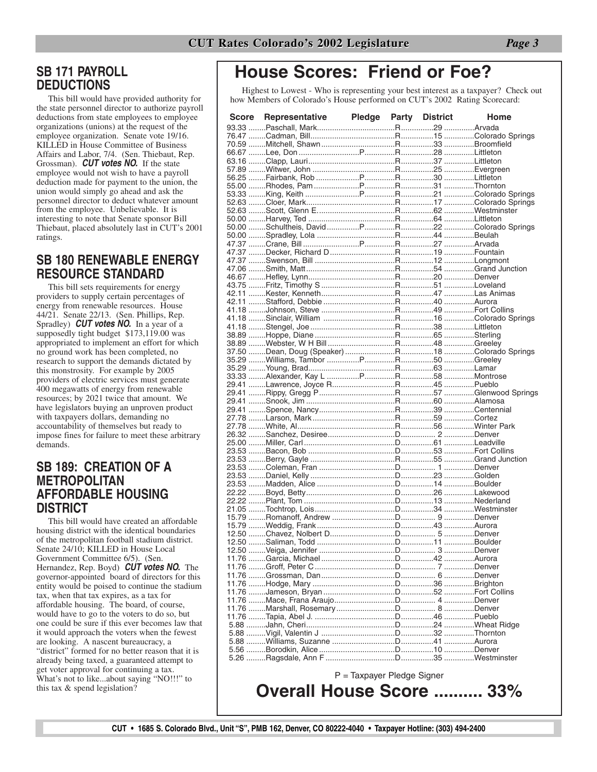### **SB 171 PAYROLL DEDUCTIONS**

This bill would have provided authority for the state personnel director to authorize payroll deductions from state employees to employee organizations (unions) at the request of the employee organization. Senate vote 19/16. KILLED in House Committee of Business Affairs and Labor, 7/4. (Sen. Thiebaut, Rep. Grossman). *CUT votes NO.* If the state employee would not wish to have a payroll deduction made for payment to the union, the union would simply go ahead and ask the personnel director to deduct whatever amount from the employee. Unbelievable. It is interesting to note that Senate sponsor Bill Thiebaut, placed absolutely last in CUT's 2001 ratings.

### **SB 180 RENEWABLE ENERGY RESOURCE STANDARD**

This bill sets requirements for energy providers to supply certain percentages of energy from renewable resources. House 44/21. Senate 22/13. (Sen. Phillips, Rep. Spradley) *CUT votes NO.* In a year of a supposedly tight budget \$173,119.00 was appropriated to implement an effort for which no ground work has been completed, no research to support the demands dictated by this monstrosity. For example by 2005 providers of electric services must generate 400 megawatts of energy from renewable resources; by 2021 twice that amount. We have legislators buying an unproven product with taxpayers dollars, demanding no accountability of themselves but ready to impose fines for failure to meet these arbitrary demands.

#### **SB 189: CREATION OF A METROPOLITAN AFFORDABLE HOUSING DISTRICT**

This bill would have created an affordable housing district with the identical boundaries of the metropolitan football stadium district. Senate 24/10; KILLED in House Local Government Committee 6/5). (Sen. Hernandez, Rep. Boyd) *CUT votes NO.* The governor-appointed board of directors for this entity would be poised to continue the stadium tax, when that tax expires, as a tax for affordable housing. The board, of course, would have to go to the voters to do so, but one could be sure if this ever becomes law that it would approach the voters when the fewest are looking. A nascent bureaucracy, a "district" formed for no better reason that it is already being taxed, a guaranteed attempt to get voter approval for continuing a tax. What's not to like...about saying "NO!!!" to this tax & spend legislation?

## **House Scores: Friend or Foe?**

Highest to Lowest - Who is representing your best interest as a taxpayer? Check out how Members of Colorado's House performed on CUT's 2002 Rating Scorecard:

| <b>Score</b> | Representative Pledge Party District                       |                            |  | Home |
|--------------|------------------------------------------------------------|----------------------------|--|------|
|              |                                                            |                            |  |      |
|              |                                                            |                            |  |      |
|              |                                                            |                            |  |      |
|              |                                                            |                            |  |      |
|              |                                                            |                            |  |      |
|              |                                                            |                            |  |      |
|              |                                                            |                            |  |      |
|              |                                                            |                            |  |      |
|              |                                                            |                            |  |      |
|              |                                                            |                            |  |      |
|              |                                                            |                            |  |      |
|              |                                                            |                            |  |      |
|              |                                                            |                            |  |      |
|              |                                                            |                            |  |      |
|              |                                                            |                            |  |      |
|              |                                                            |                            |  |      |
|              |                                                            |                            |  |      |
|              |                                                            |                            |  |      |
|              |                                                            |                            |  |      |
|              |                                                            |                            |  |      |
|              |                                                            |                            |  |      |
|              |                                                            |                            |  |      |
|              |                                                            |                            |  |      |
|              |                                                            |                            |  |      |
|              |                                                            |                            |  |      |
|              |                                                            |                            |  |      |
|              |                                                            |                            |  |      |
|              |                                                            |                            |  |      |
|              |                                                            |                            |  |      |
|              |                                                            |                            |  |      |
|              |                                                            |                            |  |      |
|              |                                                            |                            |  |      |
|              | 27.78 Larson, Mark…R…………59 Cortez                          |                            |  |      |
|              | 27.78 ……White, Al…………………………………………R……………56 ……………Winter Park |                            |  |      |
|              |                                                            |                            |  |      |
|              |                                                            |                            |  |      |
|              |                                                            |                            |  |      |
|              |                                                            |                            |  |      |
|              |                                                            |                            |  |      |
|              |                                                            |                            |  |      |
|              |                                                            |                            |  |      |
|              |                                                            |                            |  |      |
|              |                                                            |                            |  |      |
|              |                                                            |                            |  |      |
|              |                                                            |                            |  |      |
|              |                                                            |                            |  |      |
|              |                                                            |                            |  |      |
|              |                                                            |                            |  |      |
|              |                                                            |                            |  |      |
|              |                                                            |                            |  |      |
|              |                                                            |                            |  |      |
|              |                                                            |                            |  |      |
|              |                                                            |                            |  |      |
|              |                                                            |                            |  |      |
|              |                                                            |                            |  |      |
|              |                                                            |                            |  |      |
|              |                                                            |                            |  |      |
|              |                                                            |                            |  |      |
|              |                                                            |                            |  |      |
|              |                                                            |                            |  |      |
|              |                                                            |                            |  |      |
|              |                                                            | P = Taxpayer Pledge Signer |  |      |

**Overall House Score .......... 33%**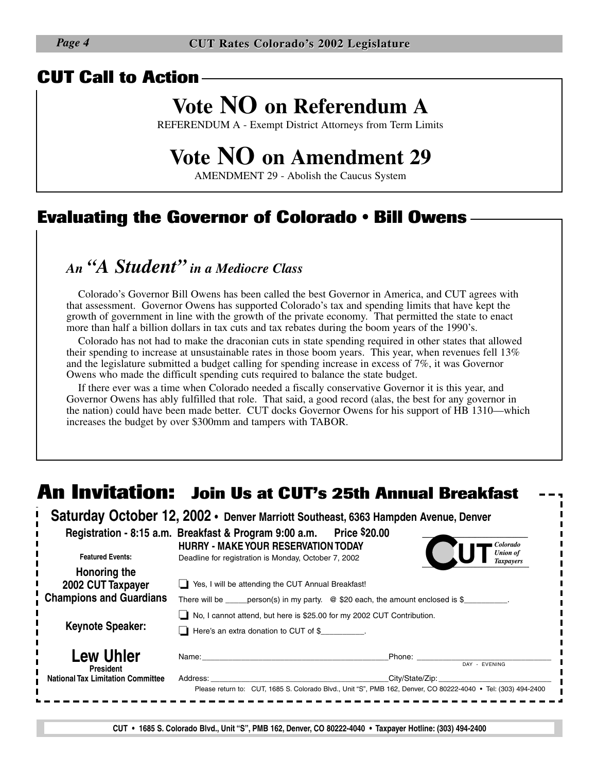### **CUT Call to Action**

## **Vote NO on Referendum A**

REFERENDUM A - Exempt District Attorneys from Term Limits

## **Vote NO on Amendment 29**

AMENDMENT 29 - Abolish the Caucus System

### **Evaluating the Governor of Colorado • Bill Owens**

### *An "A Student" in a Mediocre Class*

Colorado's Governor Bill Owens has been called the best Governor in America, and CUT agrees with that assessment. Governor Owens has supported Colorado's tax and spending limits that have kept the growth of government in line with the growth of the private economy. That permitted the state to enact more than half a billion dollars in tax cuts and tax rebates during the boom years of the 1990's.

Colorado has not had to make the draconian cuts in state spending required in other states that allowed their spending to increase at unsustainable rates in those boom years. This year, when revenues fell 13% and the legislature submitted a budget calling for spending increase in excess of 7%, it was Governor Owens who made the difficult spending cuts required to balance the state budget.

If there ever was a time when Colorado needed a fiscally conservative Governor it is this year, and Governor Owens has ably fulfilled that role. That said, a good record (alas, the best for any governor in the nation) could have been made better. CUT docks Governor Owens for his support of HB 1310—which increases the budget by over \$300mm and tampers with TABOR.

## **An Invitation: Join Us at CUT's 25th Annual Breakfast**

|                                                                                                                             | Saturday October 12, 2002 • Denver Marriott Southeast, 6363 Hampden Avenue, Denver                                 |                                     |  |  |  |
|-----------------------------------------------------------------------------------------------------------------------------|--------------------------------------------------------------------------------------------------------------------|-------------------------------------|--|--|--|
|                                                                                                                             | Registration - 8:15 a.m. Breakfast & Program 9:00 a.m. Price \$20.00<br><b>HURRY - MAKE YOUR RESERVATION TODAY</b> | Colorado                            |  |  |  |
| <b>Featured Events:</b>                                                                                                     | Deadline for registration is Monday, October 7, 2002                                                               | <b>Union of</b><br><b>Taxpayers</b> |  |  |  |
| Honoring the<br>2002 CUT Taxpayer                                                                                           | Yes, I will be attending the CUT Annual Breakfast!                                                                 |                                     |  |  |  |
| <b>Champions and Guardians</b><br>There will be _____ person(s) in my party. $\oslash$ \$20 each, the amount enclosed is \$ |                                                                                                                    |                                     |  |  |  |
| <b>Keynote Speaker:</b>                                                                                                     | No, I cannot attend, but here is \$25.00 for my 2002 CUT Contribution.<br>Here's an extra donation to CUT of \$    |                                     |  |  |  |
| <b>Lew Uhler</b><br><b>President</b>                                                                                        | Name:                                                                                                              | Phone:<br>DAY - EVENING             |  |  |  |
| <b>National Tax Limitation Committee</b>                                                                                    | Address:                                                                                                           | City/State/Zip:                     |  |  |  |

**CUT • 1685 S. Colorado Blvd., Unit "S", PMB 162, Denver, CO 80222-4040 • Taxpayer Hotline: (303) 494-2400**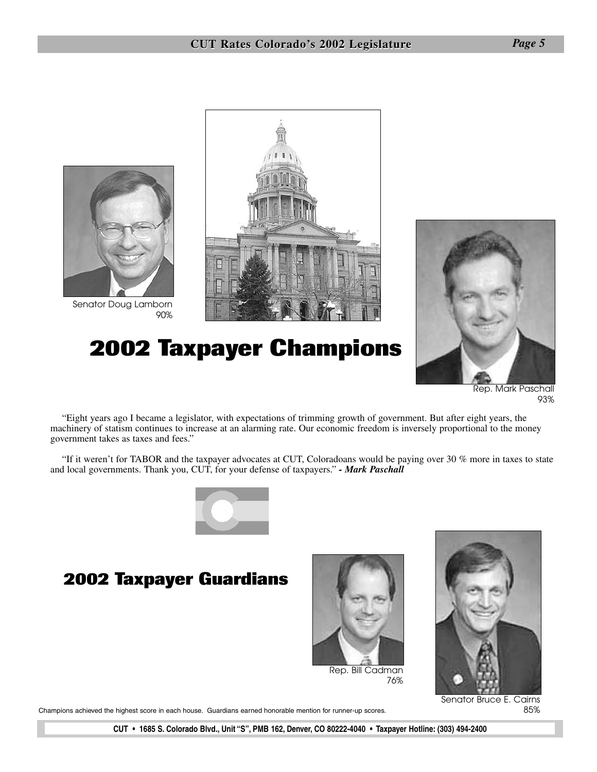

Senator Doug Lamborn 90%



## **2002 Taxpayer Champions**



Rep. Mark Paschall 93%

"Eight years ago I became a legislator, with expectations of trimming growth of government. But after eight years, the machinery of statism continues to increase at an alarming rate. Our economic freedom is inversely proportional to the money government takes as taxes and fees."

"If it weren't for TABOR and the taxpayer advocates at CUT, Coloradoans would be paying over 30 % more in taxes to state and local governments. Thank you, CUT, for your defense of taxpayers." *- Mark Paschall*



### **2002 Taxpayer Guardians**



Senator Bruce E. Cairns 85%

Champions achieved the highest score in each house. Guardians earned honorable mention for runner-up scores.

**CUT • 1685 S. Colorado Blvd., Unit "S", PMB 162, Denver, CO 80222-4040 • Taxpayer Hotline: (303) 494-2400**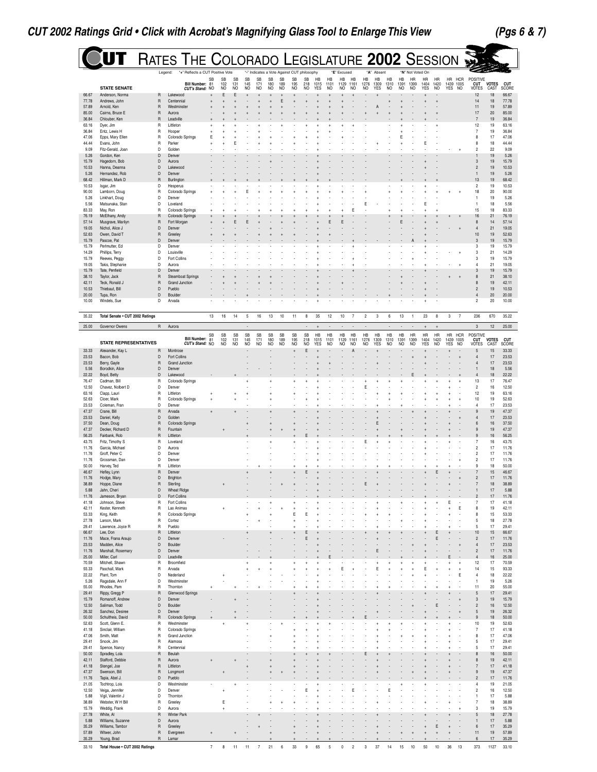$\overline{a}$ 

|                | U<br>T                                 | RATES THE COLORADO LEGISLATURE 2002 SESSION                    |           |                               |                               |                             |                  |                        |                               |                                                                 |                  |                              |                          |                              |                              |                          |                          |                          |                   |                                       |                                 |                              |                               |                    |                                  |                      |                     |
|----------------|----------------------------------------|----------------------------------------------------------------|-----------|-------------------------------|-------------------------------|-----------------------------|------------------|------------------------|-------------------------------|-----------------------------------------------------------------|------------------|------------------------------|--------------------------|------------------------------|------------------------------|--------------------------|--------------------------|--------------------------|-------------------|---------------------------------------|---------------------------------|------------------------------|-------------------------------|--------------------|----------------------------------|----------------------|---------------------|
|                |                                        | "+" Reflects a CUT Positive Vote<br>Legend:<br>Bill Number: 81 | SB        | <b>SB</b><br>102              | <b>SB</b><br>131              | <b>SB</b><br>145            | <b>SB</b><br>171 | <b>SB</b><br>180<br>NO | SB<br>189                     | "-" Indicates a Vote Against CUT philosophy<br><b>SB</b><br>195 | <b>SB</b><br>218 | <b>H<sub>R</sub></b><br>1015 | HB<br>1101               | "E" Excused<br>HB<br>1129    | <b>H<sub>R</sub></b><br>1161 | <b>HB</b><br>1276        | "A" Absent<br>HB<br>1309 | <b>HB</b><br>1310        | <b>HB</b><br>1391 | "N" Not Voted On<br><b>HR</b><br>1399 | <b>HR</b><br>1404               | <b>HR</b><br>1420            | HR HCR<br>1439 1005<br>YES NO |                    | POSITIVE<br><b>CUT</b>           | <b>VOTES</b>         | <b>CUT</b>          |
| 66.67          | <b>STATE SENATE</b><br>Anderson, Norma | CUT's Stand: NO<br>R<br>Lakewood                               |           | <b>NO</b><br>E                | NO<br>E                       | NO                          | N <sub>O</sub>   |                        | NO                            | NO                                                              | NO               | <b>YES</b>                   | NO.                      | N <sub>O</sub>               | NO.                          | N <sub>O</sub>           | <b>YES</b>               | N <sub>O</sub>           | N <sub>O</sub>    | N <sub>O</sub>                        | <b>YES</b>                      | NO                           |                               |                    | VOTES<br>12                      | CAST<br>18           | SCORE<br>66.67      |
| 77.78          | Andrews, John                          | Centennial<br>R                                                |           |                               |                               |                             |                  |                        | E                             |                                                                 |                  |                              |                          |                              |                              |                          |                          |                          |                   |                                       |                                 |                              |                               |                    | 14                               | 18                   | 77.78               |
| 57.89<br>85.00 | Arnold, Ken<br>Cairns, Bruce E         | R<br>Westminster<br>$\overline{R}$<br>Aurora                   |           |                               |                               |                             |                  |                        |                               |                                                                 |                  |                              |                          |                              |                              |                          |                          |                          |                   |                                       |                                 |                              |                               |                    | 11<br>17                         | 19<br>20             | 57.89<br>85.00      |
| 36.84          | Chlouber, Ken                          | $\mathsf R$<br>Leadville                                       |           |                               |                               |                             |                  |                        |                               |                                                                 |                  |                              |                          |                              |                              |                          |                          |                          |                   |                                       |                                 |                              |                               |                    | $\overline{7}$                   | 19                   | 36.84               |
| 63.16<br>36.84 | Dyer, Jim<br>Entz, Lewis H             | R<br>Littleton<br>R<br>Hooper                                  |           |                               |                               |                             |                  |                        |                               |                                                                 |                  |                              |                          |                              |                              |                          |                          |                          |                   |                                       |                                 |                              |                               |                    | 12<br>$\overline{7}$             | 19<br>19             | 63.16<br>36.84      |
| 47.06          | Epps, Mary Ellen                       | R<br>Colorado Springs                                          | Е         |                               |                               |                             |                  |                        |                               |                                                                 |                  |                              |                          |                              |                              |                          |                          |                          |                   |                                       |                                 |                              |                               |                    | 8                                | 17                   | 47.06               |
| 44.44<br>9.09  | Evans, John<br>Fitz-Gerald, Joan       | R<br>Parker<br>D<br>Golden                                     |           |                               | Е                             |                             |                  |                        |                               |                                                                 |                  |                              |                          |                              |                              |                          |                          |                          |                   |                                       | Ε                               |                              |                               |                    | 8<br>$\overline{c}$              | 18<br>22             | 44.44<br>9.09       |
| 5.26           | Gordon, Ken                            | D<br>Denver                                                    |           |                               |                               |                             |                  |                        |                               |                                                                 |                  |                              |                          |                              |                              |                          |                          |                          |                   |                                       |                                 |                              |                               |                    | 1                                | 19                   | 5.26                |
| 15.79<br>10.53 | Hagedorn, Bob<br>Hanna, Deanna         | D<br>Aurora<br>D<br>Lakewood                                   |           |                               |                               |                             |                  |                        |                               |                                                                 |                  |                              |                          |                              |                              |                          |                          |                          |                   |                                       |                                 |                              |                               |                    | $\mathbf{3}$<br>$\overline{c}$   | 19<br>19             | 15.79<br>10.53      |
| 5.26           | Hernandez, Rob                         | D<br>Denver                                                    |           |                               |                               |                             |                  |                        |                               |                                                                 |                  |                              |                          |                              |                              |                          |                          |                          |                   |                                       |                                 |                              |                               |                    | 1                                | 19                   | 5.26                |
| 68.42<br>10.53 | Hillman, Mark D<br>Isgar, Jim          | R<br>Burlington<br>D<br>Hesperus                               |           |                               |                               |                             |                  |                        |                               |                                                                 |                  |                              |                          |                              |                              |                          |                          |                          |                   |                                       |                                 |                              |                               |                    | 13<br>$\overline{c}$             | 19<br>19             | 68.42<br>10.53      |
| 90.00          | Lamborn, Doug                          | R<br>Colorado Springs                                          |           |                               |                               |                             |                  |                        |                               |                                                                 |                  |                              |                          |                              |                              |                          |                          |                          |                   |                                       |                                 |                              |                               |                    | 18                               | 20                   | 90.00               |
| 5.26<br>5.56   | Linkhart, Doug<br>Matsunaka, Stan      | D<br>Denver<br>D<br>Loveland                                   |           |                               |                               |                             |                  |                        |                               |                                                                 |                  |                              |                          |                              |                              |                          |                          |                          |                   |                                       |                                 |                              |                               |                    | $\mathbf{1}$<br>-1               | 19<br>18             | 5.26<br>5.56        |
| 83.33          | May, Ron                               | R<br>Colorado Springs                                          |           |                               |                               |                             |                  |                        |                               |                                                                 |                  |                              |                          |                              | Е                            |                          |                          |                          |                   |                                       |                                 |                              |                               |                    | 15                               | 18                   | 83.33               |
| 76.19<br>57.14 | McElhany, Andy<br>Musgrave, Marilyn    | Colorado Springs<br>R<br>Fort Morgan<br>R                      |           |                               |                               |                             |                  |                        |                               |                                                                 |                  |                              | E                        |                              |                              |                          |                          |                          |                   |                                       |                                 |                              |                               |                    | 16<br>8                          | 21<br>14             | 76.19<br>57.14      |
| 19.05          | Nichol, Alice J                        | D<br>Denver                                                    |           |                               |                               |                             |                  |                        |                               |                                                                 |                  |                              |                          |                              |                              |                          |                          |                          |                   |                                       |                                 |                              |                               |                    | $\overline{4}$                   | 21                   | 19.05               |
| 52.63<br>15.79 | Owen, David T<br>Pascoe, Pat           | R<br>Greeley<br>D<br>Denver                                    |           |                               |                               |                             |                  |                        |                               |                                                                 |                  |                              |                          |                              |                              |                          |                          |                          |                   |                                       |                                 |                              |                               |                    | 10<br>$\mathbf{3}$               | 19<br>19             | 52.63<br>15.79      |
| 15.79          | Perlmutter, Ed                         | D<br>Denver                                                    |           |                               |                               |                             |                  |                        |                               |                                                                 |                  |                              |                          |                              |                              |                          |                          |                          |                   |                                       |                                 |                              |                               |                    | 3                                | 19                   | 15.79               |
| 14.29<br>15.79 | Phillips, Terry                        | D<br>Louisville<br>D<br><b>Fort Collins</b>                    |           |                               |                               |                             |                  |                        |                               |                                                                 |                  |                              |                          |                              |                              |                          |                          |                          |                   |                                       |                                 |                              |                               |                    | 3<br>3                           | 21<br>19             | 14.29<br>15.79      |
| 19.05          | Reeves, Peggy<br>Takis, Stephanie      | D<br>Aurora                                                    |           |                               |                               |                             |                  |                        |                               |                                                                 |                  |                              |                          |                              |                              |                          |                          |                          |                   |                                       |                                 |                              |                               |                    | 4                                | 21                   | 19.05               |
| 15.79<br>38.10 | Tate, Penfield<br>Taylor, Jack         | D<br>Denver<br>$\mathsf R$<br><b>Steamboat Springs</b>         |           |                               |                               |                             |                  |                        |                               |                                                                 |                  |                              |                          |                              |                              |                          |                          |                          |                   |                                       |                                 |                              |                               |                    | 3<br>8                           | 19<br>21             | 15.79<br>38.10      |
| 42.11          | Teck, Ronald J                         | $\overline{R}$<br>Grand Junction                               |           |                               |                               |                             |                  |                        |                               |                                                                 |                  |                              |                          |                              |                              |                          |                          |                          |                   |                                       |                                 |                              |                               |                    | $\mathbf{8}$                     | 19                   | 42.11               |
| 10.53          | Thiebaut, Bill                         | D<br>Pueblo<br>D                                               |           |                               |                               |                             |                  |                        |                               |                                                                 |                  |                              |                          |                              |                              |                          |                          |                          |                   |                                       |                                 |                              |                               |                    | $\overline{c}$                   | 19                   | 10.53               |
| 20.00<br>10.00 | Tupa, Ron<br>Windels, Sue              | Boulder<br>D<br>Arvada                                         |           |                               |                               |                             |                  |                        |                               |                                                                 |                  |                              |                          |                              |                              |                          |                          |                          |                   |                                       |                                 |                              |                               |                    | $\overline{4}$<br>$\overline{c}$ | 20<br>20             | 20.00<br>10.00      |
|                |                                        |                                                                |           |                               |                               |                             |                  |                        |                               |                                                                 |                  |                              |                          |                              |                              |                          |                          |                          |                   |                                       |                                 |                              |                               |                    |                                  |                      |                     |
| 35.22          | Total Senate . CUT 2002 Ratings        |                                                                | 13        | 16                            | 14                            | $\mathbf 5$                 | 16               | 13                     | 10                            | 11                                                              | 8                | 35                           | 12                       | 10                           | $\overline{7}$               | $\boldsymbol{2}$         | 3                        | 6                        | 13                | $\overline{1}$                        | 23                              | 8                            | 3                             | $\overline{7}$     | 236                              | 670                  | 35.22               |
| 25.00          | Governor Owens                         | $\mathsf R$<br>Aurora                                          |           |                               |                               | ٠                           |                  |                        |                               |                                                                 | ٠                | $\ddot{}$                    | $\overline{\phantom{a}}$ | ٠                            | $\overline{\phantom{a}}$     | $\overline{\phantom{a}}$ |                          | $\overline{\phantom{a}}$ |                   | $\overline{\phantom{a}}$              | $\ddot{}$                       | $\ddot{}$                    |                               |                    | $\sqrt{3}$                       | 12                   | 25.00               |
|                | <b>STATE REPRESENTATIVES</b>           | Bill Number: 81<br>CUT's Stand: NO                             | <b>SB</b> | <b>SB</b><br>$\frac{102}{NO}$ | <b>SB</b><br>$\frac{131}{NQ}$ | SB<br>145<br>N <sub>O</sub> | SB<br>171<br>NO  | SB<br>$\frac{180}{NO}$ | <b>SB</b><br>$\frac{189}{NQ}$ | SB<br>195<br>NO                                                 | SB<br>218<br>NO  | HB<br>1015<br><b>YES</b>     | HB<br>1101               | HB<br>1129<br>N <sub>O</sub> | HB<br>1161                   | <b>HB</b><br>1276        | HB<br>1309<br>YFS        | HB<br>1310               | <b>HB</b><br>1391 | HR<br>1399                            | <b>HR</b><br>1404<br><b>YES</b> | HR<br>1420<br>N <sub>O</sub> | HR<br>1439<br><b>YFS</b>      | <b>HCR</b><br>1005 | <b>POSITIVE</b><br><b>CUT</b>    | <b>VOTES</b><br>CAST | <b>CUT</b><br>SCORE |
| 33.33          | Alexander, Kay L                       | Montrose<br>R                                                  |           |                               |                               |                             |                  |                        |                               |                                                                 | Ε                |                              | NO.                      |                              | NO.                          | NO.                      |                          | NO.                      | NO.               | NO.                                   |                                 |                              |                               | NO.                | VOTES<br>5                       | 15                   | 33.33               |
| 23.53          | Bacon, Bob                             | D<br><b>Fort Collins</b>                                       |           |                               |                               |                             |                  |                        |                               |                                                                 |                  |                              |                          |                              |                              |                          |                          |                          |                   |                                       |                                 |                              |                               |                    |                                  | 17                   | 23.53               |
| 23.53<br>5.56  | Berry, Gayle<br>Borodkin, Alice        | R<br>Grand Junction<br>D<br>Denver                             |           |                               |                               |                             |                  |                        |                               |                                                                 |                  |                              |                          |                              |                              |                          |                          |                          |                   |                                       |                                 |                              |                               |                    | $\overline{4}$<br>1              | 17<br>18             | 23.53<br>5.56       |
| 22.22          | Boyd, Betty                            | D<br>Lakewood                                                  |           |                               |                               |                             |                  |                        |                               |                                                                 |                  |                              |                          |                              |                              |                          |                          |                          |                   |                                       |                                 |                              |                               |                    | $\overline{4}$                   | 18                   | 22.22               |
| 76.47<br>12.50 | Cadman, Bill<br>Chavez, Nolbert D      | R<br>Colorado Springs<br>D<br>Denver                           |           |                               |                               |                             |                  |                        |                               |                                                                 |                  |                              |                          |                              |                              | Ε                        |                          |                          |                   |                                       |                                 |                              |                               |                    | 13<br>$\overline{\mathbf{c}}$    | 17<br>16             | 76.47<br>12.50      |
| 63.16          | Clapp, Lauri                           | R<br>Littleton                                                 |           |                               |                               |                             |                  |                        |                               |                                                                 |                  |                              |                          |                              |                              |                          |                          |                          |                   |                                       |                                 |                              |                               |                    | 12                               | 19                   | 63.16               |
| 52.63<br>23.53 | Cloer, Mark<br>Coleman, Fran           | R<br>Colorado Springs<br>D<br>Denver                           |           |                               |                               |                             |                  |                        |                               |                                                                 |                  |                              |                          |                              |                              |                          |                          |                          |                   |                                       |                                 |                              |                               |                    | 10<br>$\overline{4}$             | 19<br>17             | 52.63<br>23.53      |
| 47.37          | Crane, Bill                            | $\overline{R}$<br>Arvada                                       |           |                               |                               |                             |                  |                        |                               |                                                                 |                  |                              |                          |                              |                              |                          |                          |                          |                   |                                       |                                 |                              |                               |                    | $\mathbf{g}$                     | 19                   | 47.37               |
| 23.53<br>37.50 | Daniel, Kelly<br>Dean, Doug            | Golden<br>D<br>R<br>Colorado Springs                           |           |                               |                               |                             |                  |                        |                               |                                                                 |                  |                              |                          |                              |                              |                          |                          |                          |                   |                                       |                                 |                              |                               |                    | $\overline{4}$<br>6              | 17<br>16             | 23.53<br>37.50      |
| 47.37          | Decker, Richard D                      | R<br>Fountain                                                  |           |                               |                               |                             |                  |                        |                               |                                                                 |                  |                              |                          |                              |                              |                          |                          |                          |                   |                                       |                                 |                              |                               |                    | 9                                | 19                   | 47.37               |
| 56.25<br>43.75 | Fairbank, Rob<br>Fritz, Timothy S      | $\mathsf R$<br>Littleton<br>R<br>Loveland                      |           |                               |                               |                             |                  |                        |                               |                                                                 |                  |                              |                          |                              |                              | Ε                        |                          |                          |                   |                                       |                                 |                              |                               |                    | 9<br>$\overline{7}$              | 16<br>16             | 56.25<br>43.75      |
| 11.76          | Garcia, Michael                        | D<br>Aurora                                                    |           |                               |                               |                             |                  |                        |                               |                                                                 |                  |                              |                          |                              |                              |                          |                          |                          |                   |                                       |                                 |                              |                               |                    | $\overline{c}$                   | 17                   | 11.76               |
| 11.76<br>11.76 | Groff, Peter C<br>Grossman, Dan        | D<br>Denver<br>D<br>Denver                                     |           |                               |                               |                             |                  |                        |                               |                                                                 |                  |                              |                          |                              |                              |                          |                          |                          |                   |                                       |                                 |                              |                               |                    | $\overline{c}$<br>$\sqrt{2}$     | 17<br>17             | 11.76<br>11.76      |
| 50.00          | Harvey, Ted                            | R<br>Littleton                                                 |           |                               |                               |                             |                  |                        |                               |                                                                 |                  |                              |                          |                              |                              |                          |                          |                          |                   |                                       |                                 |                              |                               |                    | 9                                | 18                   | 50.00               |
| 46.67<br>11.76 | Hefley, Lynn<br>Hodge, Mary            | R<br>Denver<br>D<br>Brighton                                   |           |                               |                               |                             |                  |                        |                               |                                                                 |                  |                              |                          |                              |                              |                          |                          |                          |                   |                                       |                                 | E                            |                               |                    | $\overline{7}$<br>$\overline{2}$ | 15<br>17             | 46.67<br>11.76      |
| 38.89          | Hoppe, Diane                           | R<br>Sterling                                                  |           |                               |                               |                             |                  |                        |                               |                                                                 |                  |                              |                          |                              |                              |                          |                          |                          |                   |                                       |                                 |                              |                               |                    |                                  | 18                   | 38.89               |
| 5.88           | Jahn, Chen                             | D<br>Wheat Ridge<br>D                                          |           |                               |                               |                             |                  |                        |                               |                                                                 |                  |                              |                          |                              |                              |                          |                          |                          |                   |                                       |                                 |                              |                               |                    | $\overline{\phantom{a}}$         | 17                   | 5.88<br>11.76       |
| 11.76<br>41.18 | Jameson, Bryan<br>Johnson, Steve       | Fort Collins<br>R<br>Fort Collins                              |           |                               |                               |                             |                  |                        |                               |                                                                 |                  |                              |                          |                              |                              |                          |                          |                          |                   |                                       |                                 |                              |                               |                    | $\overline{7}$                   | 17                   | 41.18               |
| 42.11          | Kester, Kenneth                        | R<br>Las Animas                                                |           |                               |                               |                             |                  |                        |                               |                                                                 |                  |                              |                          |                              |                              |                          |                          |                          |                   |                                       |                                 |                              |                               | E                  | 8                                | 19                   | 42.11               |
| 53.33<br>27.78 | King, Keith<br>Larson, Mark            | R<br>Colorado Springs<br>R<br>Cortez                           |           |                               |                               |                             |                  |                        |                               | E                                                               | E                |                              |                          |                              |                              |                          |                          |                          |                   |                                       |                                 |                              |                               |                    | 8<br>5                           | 15<br>18             | 53.33<br>27.78      |
| 29.41          | Lawrence, Joyce R                      | R<br>Pueblo<br>Littleton                                       |           |                               |                               |                             |                  |                        |                               |                                                                 | F                |                              |                          |                              |                              |                          |                          |                          |                   |                                       |                                 | E                            |                               |                    | 5                                | 17                   | 29.41               |
| 66.67<br>11.76 | Lee, Don<br>Mace, Frana Araujo         | R<br>D<br>Denver                                               |           |                               |                               | ÷                           |                  |                        |                               |                                                                 | F                |                              |                          |                              |                              |                          |                          |                          |                   |                                       |                                 | F                            |                               |                    | 10<br>$\overline{c}$             | 15<br>17             | 66.67<br>11.76      |
| 23.53          | Madden, Alice<br>Marshall, Rosemary    | D<br>Boulder                                                   |           |                               |                               |                             |                  |                        |                               |                                                                 |                  |                              |                          |                              |                              |                          |                          |                          |                   |                                       |                                 |                              |                               |                    | $\overline{4}$                   | 17                   | 23.53               |
| 11.76<br>25.00 | Miller, Carl                           | D<br>Denver<br>D<br>Leadville                                  |           |                               |                               |                             |                  |                        |                               |                                                                 |                  |                              |                          |                              |                              |                          | Ε                        |                          |                   |                                       |                                 |                              |                               |                    | $\sqrt{2}$<br>$\overline{4}$     | 17<br>16             | 11.76<br>25.00      |
| 70.59          | Mitchell, Shawn                        | R<br>Broomfield                                                |           |                               |                               | ÷                           |                  |                        |                               |                                                                 |                  |                              |                          | F                            |                              |                          | F                        |                          |                   |                                       |                                 |                              |                               |                    | 12                               | 17                   | 70.59               |
| 93.33<br>22.22 | Paschall, Mark<br>Plant, Tom           | Arvada<br>R<br>D<br>Nederland                                  |           |                               |                               | ÷                           |                  |                        |                               |                                                                 |                  |                              |                          |                              |                              |                          |                          |                          |                   |                                       | E                               |                              |                               | F                  | 14<br>$\overline{4}$             | 15<br>18             | 93.33<br>22.22      |
| 5.26           | Ragsdale, Ann F                        | D<br>Westminster                                               |           |                               |                               |                             |                  |                        |                               |                                                                 |                  |                              |                          |                              |                              |                          |                          |                          |                   |                                       |                                 |                              |                               |                    | $\overline{1}$                   | 19                   | 5.26                |
| 55.00<br>29.41 | Rhodes, Pam<br>Rippy, Gregg P          | R<br>Thornton<br><b>Glenwood Springs</b><br>R                  |           |                               |                               |                             |                  |                        |                               |                                                                 |                  |                              |                          |                              |                              |                          |                          |                          |                   |                                       |                                 |                              |                               |                    | 11<br>5                          | 20<br>17             | 55.00<br>29.41      |
| 15.79          | Romanoff, Andrew                       | D<br>Denver                                                    |           |                               |                               |                             |                  |                        |                               |                                                                 |                  |                              |                          |                              |                              |                          |                          |                          |                   |                                       |                                 |                              |                               |                    | 3                                | 19                   | 15.79               |
| 12.50<br>26.32 | Saliman, Todd<br>Sanchez, Desiree      | D<br>Boulder<br>D<br>Denver                                    |           |                               |                               |                             |                  |                        |                               |                                                                 |                  |                              |                          |                              |                              |                          |                          |                          |                   |                                       |                                 | E                            |                               |                    | $\overline{c}$<br>5              | 16<br>19             | 12.50<br>26.32      |
| 50.00          | Schultheis, David                      | R<br>Colorado Springs                                          |           |                               |                               |                             |                  |                        |                               |                                                                 |                  |                              |                          |                              |                              |                          |                          |                          |                   |                                       |                                 |                              |                               |                    | $\mathfrak{g}$                   | 18                   | 50.00               |
| 52.63<br>41.18 | Scott, Glenn E.<br>Sinclair, William   | R<br>Westminster<br>R<br>Colorado Springs                      |           |                               |                               | ł                           |                  |                        |                               |                                                                 |                  |                              |                          |                              |                              |                          |                          |                          |                   |                                       |                                 |                              |                               |                    | 10<br>$\overline{7}$             | 19<br>17             | 52.63<br>41.18      |
| 47.06          | Smith, Matt                            | R<br>Grand Junction                                            |           |                               |                               |                             |                  |                        |                               |                                                                 |                  |                              |                          |                              |                              |                          |                          |                          |                   |                                       |                                 |                              |                               |                    | 8                                | 17                   | 47.06               |
| 29.41<br>29.41 | Snook, Jim<br>Spence, Nancy            | R<br>Alamosa<br>Centennial<br>R                                |           |                               |                               |                             |                  |                        |                               |                                                                 |                  |                              |                          |                              |                              |                          |                          |                          |                   |                                       |                                 |                              |                               |                    | 5<br>5                           | 17<br>17             | 29.41<br>29.41      |
| 50.00          | Spradley, Lola                         | R<br>Beulah                                                    |           |                               |                               |                             |                  |                        |                               |                                                                 |                  |                              |                          |                              |                              |                          |                          |                          |                   |                                       |                                 |                              |                               |                    | 8                                | 16                   | 50.00               |
| 42.11<br>41.18 | Stafford, Debbie<br>Stengel, Joe       | R<br>Aurora<br>R<br>Littleton                                  |           |                               |                               |                             |                  |                        |                               |                                                                 |                  |                              |                          |                              |                              |                          |                          |                          |                   |                                       |                                 |                              |                               |                    | $\bf 8$<br>$\overline{7}$        | 19<br>17             | 42.11<br>41.18      |
|                | Swenson, Bill                          | R<br>Longmont                                                  |           |                               |                               |                             |                  |                        |                               |                                                                 |                  |                              |                          |                              |                              |                          |                          |                          |                   |                                       |                                 |                              |                               |                    | 9                                | 19                   | 47.37               |
| 47.37          | Tapia, Abel J.                         | D<br>Pueblo<br>D<br>Westminster                                |           |                               |                               |                             |                  |                        |                               |                                                                 |                  |                              |                          |                              |                              |                          |                          |                          |                   |                                       |                                 |                              |                               |                    | $\overline{c}$<br>4              | 17<br>19             | 11.76<br>21.05      |
| 11.76          |                                        |                                                                |           | ÷                             |                               |                             |                  |                        |                               |                                                                 | F                |                              |                          |                              | E                            |                          |                          | E                        |                   |                                       |                                 |                              |                               |                    | $\overline{c}$                   | 16                   | 12.50               |
| 21.05<br>12.50 | Tochtrop, Lois<br>Veiga, Jennifer      | D<br>Denver                                                    |           |                               |                               |                             |                  |                        |                               |                                                                 |                  |                              |                          |                              |                              |                          |                          |                          |                   |                                       |                                 |                              |                               |                    |                                  |                      | 5.88                |
| 5.88           | Vigil, Valentin J                      | D<br>Thornton                                                  |           |                               |                               |                             |                  |                        |                               |                                                                 |                  |                              |                          |                              |                              |                          |                          |                          |                   |                                       |                                 |                              |                               |                    | $\mathbf{1}$                     | 17                   |                     |
| 38.89<br>15.79 | Webster, W H Bill<br>Weddig, Frank     | R<br>Greeley<br>D<br>Aurora                                    |           | Ε<br>÷                        |                               |                             |                  |                        |                               |                                                                 |                  |                              |                          |                              |                              |                          |                          |                          |                   |                                       |                                 |                              |                               |                    | $\overline{7}$<br>3              | 18<br>19             | 38.89<br>15.79      |
| 27.78          | White, Al                              | R<br><b>Winter Park</b>                                        |           |                               |                               |                             |                  |                        |                               |                                                                 |                  |                              |                          |                              |                              |                          |                          |                          |                   |                                       |                                 |                              |                               |                    | 5                                | 18                   | 27.78               |
| 5.88<br>35.29  | Williams, Suzanne<br>Williams, Tambor  | D<br>Aurora<br>R<br>Greeley                                    |           |                               |                               |                             |                  |                        |                               |                                                                 |                  |                              |                          |                              |                              |                          |                          |                          |                   |                                       |                                 | E                            |                               |                    | 1<br>6                           | 17<br>17             | 5.88<br>35.29       |
| 57.89<br>35.29 | Witwer, John<br>Young, Brad            | R<br>Evergreen<br>R<br>Lamar                                   | ÷         |                               |                               |                             |                  |                        |                               |                                                                 |                  |                              |                          |                              |                              |                          |                          |                          |                   |                                       |                                 |                              |                               |                    | 11<br>$\boldsymbol{6}$           | 19<br>17             | 57.89<br>35.29      |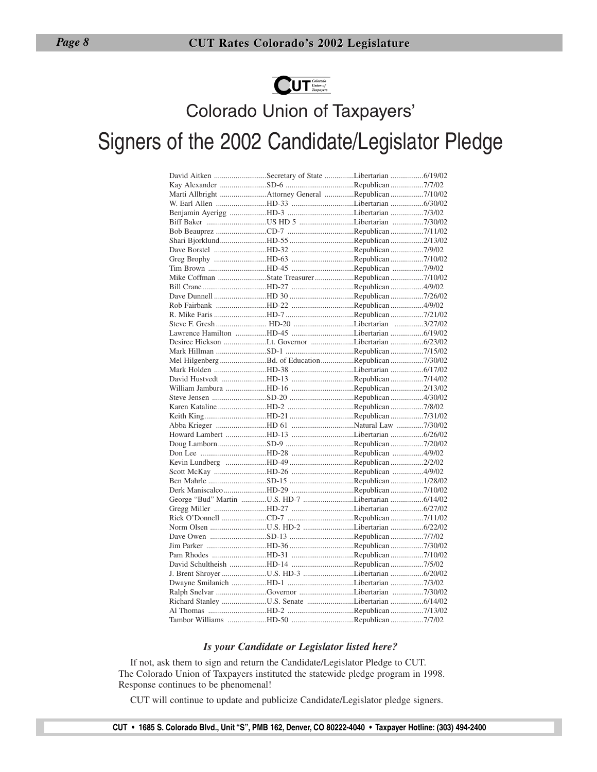

# Colorado Union of Taxpayers' Signers of the 2002 Candidate/Legislator Pledge

| David Aitken Secretary of State Libertarian 6/19/02 |  |  |
|-----------------------------------------------------|--|--|
| Kay Alexander SD-6 Republican 7/7/02                |  |  |
| Marti Allbright Attorney General Republican 7/10/02 |  |  |
| W. Earl Allen HD-33 Libertarian 6/30/02             |  |  |
|                                                     |  |  |
|                                                     |  |  |
| Bob Beauprez CD-7 Republican 7/11/02                |  |  |
| Shari BjorklundHD-55 Republican 2/13/02             |  |  |
| Dave Borstel HD-32 Republican 7/9/02                |  |  |
| Greg Brophy HD-63 Republican 7/10/02                |  |  |
| Tim Brown HD-45 Republican 7/9/02                   |  |  |
| Mike Coffman State Treasurer Republican 7/10/02     |  |  |
| Bill CraneHD-27 Republican4/9/02                    |  |  |
| Dave Dunnell HD 30 Republican 7/26/02               |  |  |
| Rob Fairbank HD-22 Republican 4/9/02                |  |  |
| R. Mike Faris HD-7 Republican 7/21/02               |  |  |
| Steve F. Gresh  HD-20 Libertarian 3/27/02           |  |  |
| Lawrence Hamilton HD-45 Libertarian 6/19/02         |  |  |
| Desiree Hickson Lt. Governor Libertarian 6/23/02    |  |  |
| Mark Hillman SD-1 Republican 7/15/02                |  |  |
| Mel Hilgenberg Bd. of Education Republican 7/30/02  |  |  |
| Mark Holden HD-38 Libertarian 6/17/02               |  |  |
| David Hustvedt HD-13 Republican 7/14/02             |  |  |
| William Jambura HD-16 Republican 2/13/02            |  |  |
| Steve Jensen SD-20 Republican 4/30/02               |  |  |
| Karen Kataline HD-2 Republican 7/8/02               |  |  |
| Keith KingHD-21 Republican 7/31/02                  |  |  |
| Abba Krieger HD 61 Natural Law 7/30/02              |  |  |
| Howard Lambert HD-13 Libertarian 6/26/02            |  |  |
| Doug LambornSD-9 Republican7/20/02                  |  |  |
|                                                     |  |  |
| Kevin Lundberg HD-49 Republican 2/2/02              |  |  |
| Scott McKay HD-26 Republican 4/9/02                 |  |  |
| Ben Mahrle SD-15 Republican 1/28/02                 |  |  |
| Derk Maniscalco HD-29 Republican 7/10/02            |  |  |
| George "Bud" Martin U.S. HD-7 Libertarian 6/14/02   |  |  |
|                                                     |  |  |
| Rick O'Donnell CD-7 Republican 7/11/02              |  |  |
| Norm Olsen U.S. HD-2 Libertarian 6/22/02            |  |  |
| Dave Owen SD-13 Republican 7/7/02                   |  |  |
| Jim Parker HD-36 Republican 7/30/02                 |  |  |
| Pam Rhodes HD-31 Republican 7/10/02                 |  |  |
| David Schultheish HD-14 Republican 7/5/02           |  |  |
| J. Brent Shroyer U.S. HD-3 Libertarian 6/20/02      |  |  |
| Dwayne Smilanich HD-1 Libertarian 7/3/02            |  |  |
| Ralph Snelvar Governor Libertarian 7/30/02          |  |  |
| Richard Stanley U.S. Senate Libertarian 6/14/02     |  |  |
| Al Thomas HD-2 Republican 7/13/02                   |  |  |
| Tambor Williams HD-50 Republican 7/7/02             |  |  |
|                                                     |  |  |

#### *Is your Candidate or Legislator listed here?*

If not, ask them to sign and return the Candidate/Legislator Pledge to CUT. The Colorado Union of Taxpayers instituted the statewide pledge program in 1998. Response continues to be phenomenal!

CUT will continue to update and publicize Candidate/Legislator pledge signers.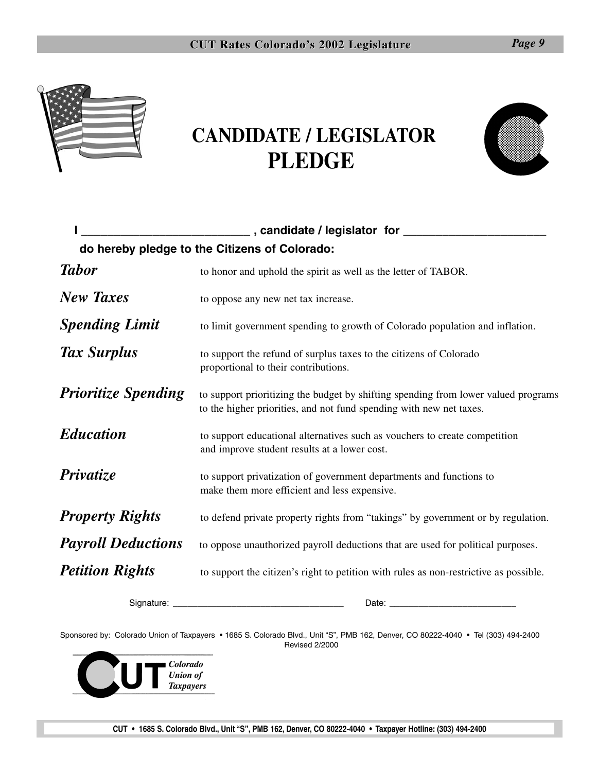

# **CANDIDATE / LEGISLATOR PLEDGE**



|                            | ___________________________________,candidate / legislator for ________________                                                                           |
|----------------------------|-----------------------------------------------------------------------------------------------------------------------------------------------------------|
|                            | do hereby pledge to the Citizens of Colorado:                                                                                                             |
| <b>Tabor</b>               | to honor and uphold the spirit as well as the letter of TABOR.                                                                                            |
| <b>New Taxes</b>           | to oppose any new net tax increase.                                                                                                                       |
| <b>Spending Limit</b>      | to limit government spending to growth of Colorado population and inflation.                                                                              |
| Tax Surplus                | to support the refund of surplus taxes to the citizens of Colorado<br>proportional to their contributions.                                                |
| <b>Prioritize Spending</b> | to support prioritizing the budget by shifting spending from lower valued programs<br>to the higher priorities, and not fund spending with new net taxes. |
| <b>Education</b>           | to support educational alternatives such as vouchers to create competition<br>and improve student results at a lower cost.                                |
| Privatize                  | to support privatization of government departments and functions to<br>make them more efficient and less expensive.                                       |
| <b>Property Rights</b>     | to defend private property rights from "takings" by government or by regulation.                                                                          |
| <b>Payroll Deductions</b>  | to oppose unauthorized payroll deductions that are used for political purposes.                                                                           |
| <b>Petition Rights</b>     | to support the citizen's right to petition with rules as non-restrictive as possible.                                                                     |

Signature: \_\_\_\_\_\_\_\_\_\_\_\_\_\_\_\_\_\_\_\_\_\_\_\_\_\_\_\_\_\_\_\_\_\_\_ Date: \_\_\_\_\_\_\_\_\_\_\_\_\_\_\_\_\_\_\_\_\_\_\_\_\_\_

Sponsored by: Colorado Union of Taxpayers • 1685 S. Colorado Blvd., Unit "S", PMB 162, Denver, CO 80222-4040 • Tel (303) 494-2400 Revised 2/2000

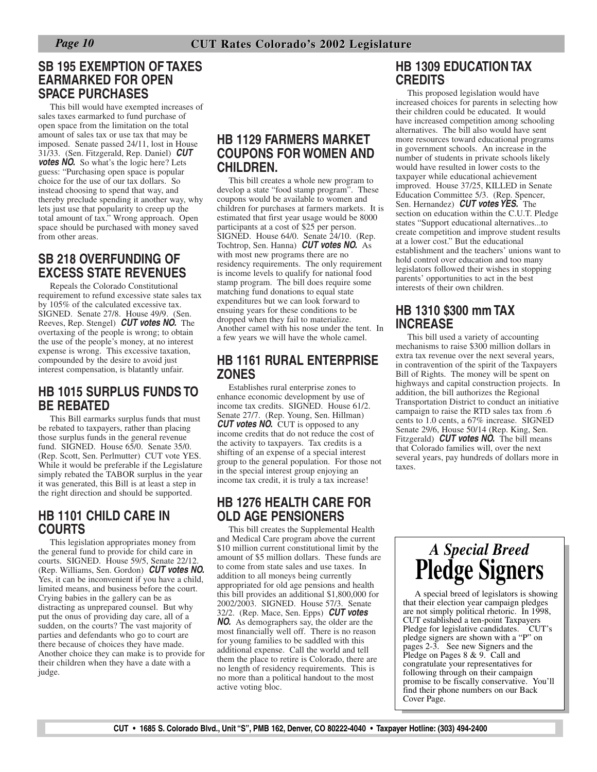### **SB 195 EXEMPTION OF TAXES EARMARKED FOR OPEN SPACE PURCHASES**

This bill would have exempted increases of sales taxes earmarked to fund purchase of open space from the limitation on the total amount of sales tax or use tax that may be imposed. Senate passed 24/11, lost in House 31/33. (Sen. Fitzgerald, Rep. Daniel) *CUT* **votes NO.** So what's the logic here? Lets guess: "Purchasing open space is popular choice for the use of our tax dollars. So instead choosing to spend that way, and thereby preclude spending it another way, why lets just use that popularity to creep up the total amount of tax." Wrong approach. Open space should be purchased with money saved from other areas.

### **SB 218 OVERFUNDING OF EXCESS STATE REVENUES**

Repeals the Colorado Constitutional requirement to refund excessive state sales tax by 105% of the calculated excessive tax. SIGNED. Senate 27/8. House 49/9. (Sen. Reeves, Rep. Stengel) *CUT votes NO.* The overtaxing of the people is wrong; to obtain the use of the people's money, at no interest expense is wrong. This excessive taxation, compounded by the desire to avoid just interest compensation, is blatantly unfair.

### **HB 1015 SURPLUS FUNDS TO BE REBATED**

This Bill earmarks surplus funds that must be rebated to taxpayers, rather than placing those surplus funds in the general revenue fund. SIGNED. House 65/0. Senate 35/0. (Rep. Scott, Sen. Perlmutter) CUT vote YES. While it would be preferable if the Legislature simply rebated the TABOR surplus in the year it was generated, this Bill is at least a step in the right direction and should be supported.

### **HB 1101 CHILD CARE IN COURTS**

This legislation appropriates money from the general fund to provide for child care in courts. SIGNED. House 59/5, Senate 22/12. (Rep. Williams, Sen. Gordon) *CUT votes NO.* Yes, it can be inconvenient if you have a child, limited means, and business before the court. Crying babies in the gallery can be as distracting as unprepared counsel. But why put the onus of providing day care, all of a sudden, on the courts? The vast majority of parties and defendants who go to court are there because of choices they have made. Another choice they can make is to provide for their children when they have a date with a judge.

### **HB 1129 FARMERS MARKET COUPONS FOR WOMEN AND CHILDREN.**

This bill creates a whole new program to develop a state "food stamp program". These coupons would be available to women and children for purchases at farmers markets. It is estimated that first year usage would be 8000 participants at a cost of \$25 per person. SIGNED. House 64/0. Senate 24/10. (Rep. Tochtrop, Sen. Hanna) *CUT votes NO.* As with most new programs there are no residency requirements. The only requirement is income levels to qualify for national food stamp program. The bill does require some matching fund donations to equal state expenditures but we can look forward to ensuing years for these conditions to be dropped when they fail to materialize. Another camel with his nose under the tent. In a few years we will have the whole camel.

### **HB 1161 RURAL ENTERPRISE ZONES**

Establishes rural enterprise zones to enhance economic development by use of income tax credits. SIGNED. House 61/2. Senate 27/7. (Rep. Young, Sen. Hillman) *CUT votes NO.* CUT is opposed to any income credits that do not reduce the cost of the activity to taxpayers. Tax credits is a shifting of an expense of a special interest group to the general population. For those not in the special interest group enjoying an income tax credit, it is truly a tax increase!

### **HB 1276 HEALTH CARE FOR OLD AGE PENSIONERS**

This bill creates the Supplemental Health and Medical Care program above the current \$10 million current constitutional limit by the amount of \$5 million dollars. These funds are to come from state sales and use taxes. In addition to all moneys being currently appropriated for old age pensions and health this bill provides an additional \$1,800,000 for 2002/2003. SIGNED. House 57/3. Senate 32/2. (Rep. Mace, Sen. Epps) *CUT votes NO.* As demographers say, the older are the most financially well off. There is no reason for young families to be saddled with this additional expense. Call the world and tell them the place to retire is Colorado, there are no length of residency requirements. This is no more than a political handout to the most active voting bloc.

### **HB 1309 EDUCATION TAX CREDITS**

This proposed legislation would have increased choices for parents in selecting how their children could be educated. It would have increased competition among schooling alternatives. The bill also would have sent more resources toward educational programs in government schools. An increase in the number of students in private schools likely would have resulted in lower costs to the taxpayer while educational achievement improved. House 37/25, KILLED in Senate Education Committee 5/3. (Rep. Spencer, Sen. Hernandez) *CUT votes YES.* The section on education within the C.U.T. Pledge states "Support educational alternatives...to create competition and improve student results at a lower cost." But the educational establishment and the teachers' unions want to hold control over education and too many legislators followed their wishes in stopping parents' opportunities to act in the best interests of their own children.

### **HB 1310 \$300 mm TAX INCREASE**

This bill used a variety of accounting mechanisms to raise \$300 million dollars in extra tax revenue over the next several years, in contravention of the spirit of the Taxpayers Bill of Rights. The money will be spent on highways and capital construction projects. In addition, the bill authorizes the Regional Transportation District to conduct an initiative campaign to raise the RTD sales tax from .6 cents to 1.0 cents, a 67% increase. SIGNED Senate 29/6, House 50/14 (Rep. King, Sen. Fitzgerald) *CUT votes NO.* The bill means that Colorado families will, over the next several years, pay hundreds of dollars more in taxes.



A special breed of legislators is showing that their election year campaign pledges are not simply political rhetoric. In 1998, CUT established a ten-point Taxpayers Pledge for legislative candidates. CUT's pledge signers are shown with a "P" on pages 2-3. See new Signers and the Pledge on Pages 8 & 9. Call and congratulate your representatives for following through on their campaign promise to be fiscally conservative. You'll find their phone numbers on our Back Cover Page.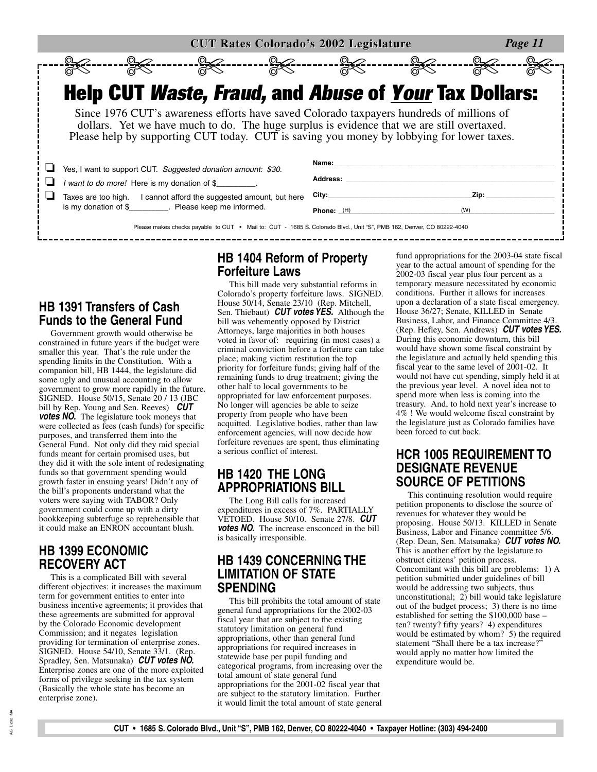| <b>CUT Rates Colorado's 2002 Legislature</b><br>Page 11 |  |                                                                                                                                                                                 |                                                                                                                                                                                                                                                                                     |  |                          |                       |      |  |
|---------------------------------------------------------|--|---------------------------------------------------------------------------------------------------------------------------------------------------------------------------------|-------------------------------------------------------------------------------------------------------------------------------------------------------------------------------------------------------------------------------------------------------------------------------------|--|--------------------------|-----------------------|------|--|
|                                                         |  |                                                                                                                                                                                 | ---- <del>94</del> -------- <del>94</del> -------- <del>94</del> ---                                                                                                                                                                                                                |  |                          | --- <del>%</del> 2--- |      |  |
|                                                         |  |                                                                                                                                                                                 |                                                                                                                                                                                                                                                                                     |  |                          |                       |      |  |
|                                                         |  |                                                                                                                                                                                 | <b>Help CUT Waste, Fraud, and Abuse of <u>Your</u> Tax Dollars:</b>                                                                                                                                                                                                                 |  |                          |                       |      |  |
|                                                         |  |                                                                                                                                                                                 | Since 1976 CUT's awareness efforts have saved Colorado taxpayers hundreds of millions of<br>dollars. Yet we have much to do. The huge surplus is evidence that we are still overtaxed.<br>Please help by supporting CUT today. CUT is saving you money by lobbying for lower taxes. |  |                          |                       |      |  |
|                                                         |  |                                                                                                                                                                                 | Yes, I want to support CUT. Suggested donation amount: \$30.<br>I want to do more! Here is my donation of \$<br>Taxes are too high.  I cannot afford the suggested amount, but here                                                                                                 |  | Name:<br><b>Address:</b> |                       | Zip: |  |
|                                                         |  | is my donation of \$_________. Please keep me informed.<br>Please makes checks payable to CUT • Mail to: CUT - 1685 S. Colorado Blvd., Unit "S", PMB 162, Denver, CO 80222-4040 |                                                                                                                                                                                                                                                                                     |  | Phone: (H)               |                       | (W)  |  |

### **HB 1391 Transfers of Cash Funds to the General Fund**

Government growth would otherwise be constrained in future years if the budget were smaller this year. That's the rule under the spending limits in the Constitution. With a companion bill, HB 1444, the legislature did some ugly and unusual accounting to allow government to grow more rapidly in the future. SIGNED. House 50/15, Senate 20 / 13 (JBC bill by Rep. Young and Sen. Reeves) *CUT votes NO.* The legislature took moneys that were collected as fees (cash funds) for specific purposes, and transferred them into the General Fund. Not only did they raid special funds meant for certain promised uses, but they did it with the sole intent of redesignating funds so that government spending would growth faster in ensuing years! Didn't any of the bill's proponents understand what the voters were saying with TABOR? Only government could come up with a dirty bookkeeping subterfuge so reprehensible that it could make an ENRON accountant blush.

### **HB 1399 ECONOMIC RECOVERY ACT**

This is a complicated Bill with several different objectives: it increases the maximum term for government entities to enter into business incentive agreements; it provides that these agreements are submitted for approval by the Colorado Economic development Commission; and it negates legislation providing for termination of enterprise zones. SIGNED. House 54/10, Senate 33/1. (Rep. Spradley, Sen. Matsunaka) *CUT votes NO.* Enterprise zones are one of the more exploited forms of privilege seeking in the tax system (Basically the whole state has become an enterprise zone).

### **HB 1404 Reform of Property Forfeiture Laws**

This bill made very substantial reforms in Colorado's property forfeiture laws. SIGNED. House 50/14, Senate 23/10 (Rep. Mitchell, Sen. Thiebaut) *CUT votes YES.* Although the bill was vehemently opposed by District Attorneys, large majorities in both houses voted in favor of: requiring (in most cases) a criminal conviction before a forfeiture can take place; making victim restitution the top priority for forfeiture funds; giving half of the remaining funds to drug treatment; giving the other half to local governments to be appropriated for law enforcement purposes. No longer will agencies be able to seize property from people who have been acquitted. Legislative bodies, rather than law enforcement agencies, will now decide how forfeiture revenues are spent, thus eliminating a serious conflict of interest.

### **HB 1420 THE LONG APPROPRIATIONS BILL**

The Long Bill calls for increased expenditures in excess of 7%. PARTIALLY VETOED. House 50/10. Senate 27/8. *CUT votes NO.* The increase ensconced in the bill is basically irresponsible.

### **HB 1439 CONCERNING THE LIMITATION OF STATE SPENDING**

This bill prohibits the total amount of state general fund appropriations for the 2002-03 fiscal year that are subject to the existing statutory limitation on general fund appropriations, other than general fund appropriations for required increases in statewide base per pupil funding and categorical programs, from increasing over the total amount of state general fund appropriations for the 2001-02 fiscal year that are subject to the statutory limitation. Further it would limit the total amount of state general fund appropriations for the 2003-04 state fiscal year to the actual amount of spending for the 2002-03 fiscal year plus four percent as a temporary measure necessitated by economic conditions. Further it allows for increases upon a declaration of a state fiscal emergency. House 36/27; Senate, KILLED in Senate Business, Labor, and Finance Committee 4/3. (Rep. Hefley, Sen. Andrews) *CUT votes YES.* During this economic downturn, this bill would have shown some fiscal constraint by the legislature and actually held spending this fiscal year to the same level of 2001-02. It would not have cut spending, simply held it at the previous year level. A novel idea not to spend more when less is coming into the treasury. And, to hold next year's increase to 4% ! We would welcome fiscal constraint by the legislature just as Colorado families have been forced to cut back.

### **HCR 1005 REQUIREMENT TO DESIGNATE REVENUE SOURCE OF PETITIONS**

This continuing resolution would require petition proponents to disclose the source of revenues for whatever they would be proposing. House 50/13. KILLED in Senate Business, Labor and Finance committee 5/6. (Rep. Dean, Sen. Matsunaka) *CUT votes NO.* This is another effort by the legislature to obstruct citizens' petition process. Concomitant with this bill are problems: 1) A petition submitted under guidelines of bill would be addressing two subjects, thus unconstitutional; 2) bill would take legislature out of the budget process; 3) there is no time established for setting the \$100,000 base – ten? twenty? fifty years? 4) expenditures would be estimated by whom? 5) the required statement "Shall there be a tax increase?" would apply no matter how limited the expenditure would be.